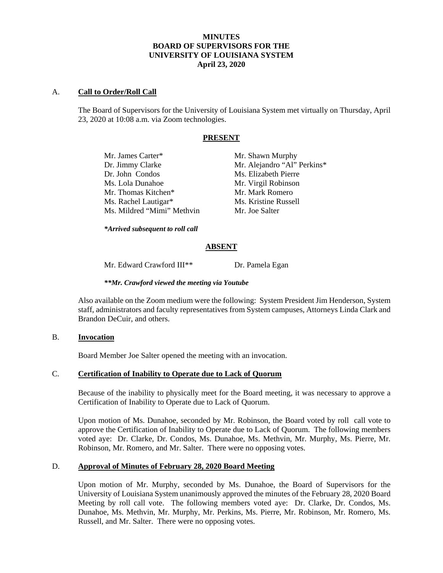# **MINUTES BOARD OF SUPERVISORS FOR THE UNIVERSITY OF LOUISIANA SYSTEM April 23, 2020**

# A. **Call to Order/Roll Call**

The Board of Supervisors for the University of Louisiana System met virtually on Thursday, April 23, 2020 at 10:08 a.m. via Zoom technologies.

# **PRESENT**

| Mr. James Carter*          | Mr. Shawn Murphy            |
|----------------------------|-----------------------------|
| Dr. Jimmy Clarke           | Mr. Alejandro "Al" Perkins* |
| Dr. John Condos            | Ms. Elizabeth Pierre        |
| Ms. Lola Dunahoe           | Mr. Virgil Robinson         |
| Mr. Thomas Kitchen*        | Mr. Mark Romero             |
| Ms. Rachel Lautigar*       | Ms. Kristine Russell        |
| Ms. Mildred "Mimi" Methvin | Mr. Joe Salter              |
|                            |                             |

*\*Arrived subsequent to roll call*

# **ABSENT**

Mr. Edward Crawford III<sup>\*\*</sup> Dr. Pamela Egan

*\*\*Mr. Crawford viewed the meeting via Youtube*

Also available on the Zoom medium were the following: System President Jim Henderson, System staff, administrators and faculty representatives from System campuses, Attorneys Linda Clark and Brandon DeCuir, and others.

# B. **Invocation**

Board Member Joe Salter opened the meeting with an invocation.

# C. **Certification of Inability to Operate due to Lack of Quorum**

Because of the inability to physically meet for the Board meeting, it was necessary to approve a Certification of Inability to Operate due to Lack of Quorum.

Upon motion of Ms. Dunahoe, seconded by Mr. Robinson, the Board voted by roll call vote to approve the Certification of Inability to Operate due to Lack of Quorum. The following members voted aye: Dr. Clarke, Dr. Condos, Ms. Dunahoe, Ms. Methvin, Mr. Murphy, Ms. Pierre, Mr. Robinson, Mr. Romero, and Mr. Salter. There were no opposing votes.

# D. **Approval of Minutes of February 28, 2020 Board Meeting**

Upon motion of Mr. Murphy, seconded by Ms. Dunahoe, the Board of Supervisors for the University of Louisiana System unanimously approved the minutes of the February 28, 2020 Board Meeting by roll call vote. The following members voted aye: Dr. Clarke, Dr. Condos, Ms. Dunahoe, Ms. Methvin, Mr. Murphy, Mr. Perkins, Ms. Pierre, Mr. Robinson, Mr. Romero, Ms. Russell, and Mr. Salter. There were no opposing votes.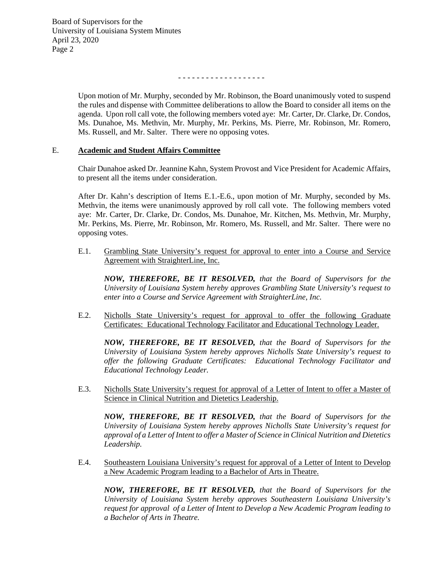- - - - - - - - - - - - - - - - - - -

Upon motion of Mr. Murphy, seconded by Mr. Robinson, the Board unanimously voted to suspend the rules and dispense with Committee deliberations to allow the Board to consider all items on the agenda. Upon roll call vote, the following members voted aye: Mr. Carter, Dr. Clarke, Dr. Condos, Ms. Dunahoe, Ms. Methvin, Mr. Murphy, Mr. Perkins, Ms. Pierre, Mr. Robinson, Mr. Romero, Ms. Russell, and Mr. Salter. There were no opposing votes.

#### E. **Academic and Student Affairs Committee**

Chair Dunahoe asked Dr. Jeannine Kahn, System Provost and Vice President for Academic Affairs, to present all the items under consideration.

After Dr. Kahn's description of Items E.1.-E.6., upon motion of Mr. Murphy, seconded by Ms. Methvin, the items were unanimously approved by roll call vote. The following members voted aye: Mr. Carter, Dr. Clarke, Dr. Condos, Ms. Dunahoe, Mr. Kitchen, Ms. Methvin, Mr. Murphy, Mr. Perkins, Ms. Pierre, Mr. Robinson, Mr. Romero, Ms. Russell, and Mr. Salter. There were no opposing votes.

E.1. Grambling State University's request for approval to enter into a Course and Service Agreement with StraighterLine, Inc.

*NOW, THEREFORE, BE IT RESOLVED, that the Board of Supervisors for the University of Louisiana System hereby approves Grambling State University's request to enter into a Course and Service Agreement with StraighterLine, Inc.* 

E.2. Nicholls State University's request for approval to offer the following Graduate Certificates: Educational Technology Facilitator and Educational Technology Leader.

*NOW, THEREFORE, BE IT RESOLVED, that the Board of Supervisors for the University of Louisiana System hereby approves Nicholls State University's request to offer the following Graduate Certificates: Educational Technology Facilitator and Educational Technology Leader.*

E.3. Nicholls State University's request for approval of a Letter of Intent to offer a Master of Science in Clinical Nutrition and Dietetics Leadership.

*NOW, THEREFORE, BE IT RESOLVED, that the Board of Supervisors for the University of Louisiana System hereby approves Nicholls State University's request for approval of a Letter of Intent to offer a Master of Science in Clinical Nutrition and Dietetics Leadership.* 

E.4. Southeastern Louisiana University's request for approval of a Letter of Intent to Develop a New Academic Program leading to a Bachelor of Arts in Theatre.

*NOW, THEREFORE, BE IT RESOLVED, that the Board of Supervisors for the University of Louisiana System hereby approves Southeastern Louisiana University's request for approval of a Letter of Intent to Develop a New Academic Program leading to a Bachelor of Arts in Theatre.*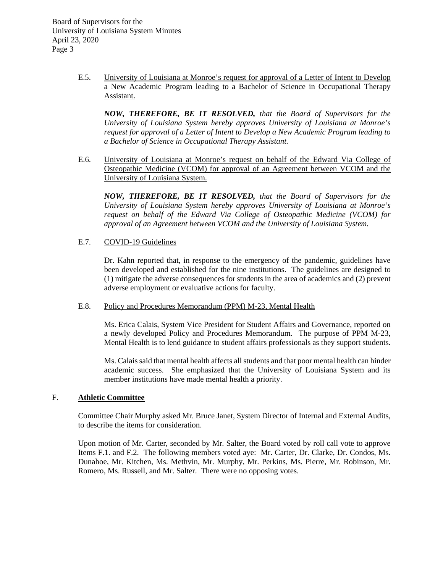> E.5. University of Louisiana at Monroe's request for approval of a Letter of Intent to Develop a New Academic Program leading to a Bachelor of Science in Occupational Therapy Assistant.

*NOW, THEREFORE, BE IT RESOLVED, that the Board of Supervisors for the University of Louisiana System hereby approves University of Louisiana at Monroe's request for approval of a Letter of Intent to Develop a New Academic Program leading to a Bachelor of Science in Occupational Therapy Assistant.*

E.6. University of Louisiana at Monroe's request on behalf of the Edward Via College of Osteopathic Medicine (VCOM) for approval of an Agreement between VCOM and the University of Louisiana System.

*NOW, THEREFORE, BE IT RESOLVED, that the Board of Supervisors for the University of Louisiana System hereby approves University of Louisiana at Monroe's request on behalf of the Edward Via College of Osteopathic Medicine (VCOM) for approval of an Agreement between VCOM and the University of Louisiana System.*

E.7. COVID-19 Guidelines

Dr. Kahn reported that, in response to the emergency of the pandemic, guidelines have been developed and established for the nine institutions. The guidelines are designed to (1) mitigate the adverse consequences for students in the area of academics and (2) prevent adverse employment or evaluative actions for faculty.

#### E.8. Policy and Procedures Memorandum (PPM) M-23, Mental Health

Ms. Erica Calais, System Vice President for Student Affairs and Governance, reported on a newly developed Policy and Procedures Memorandum. The purpose of PPM M-23, Mental Health is to lend guidance to student affairs professionals as they support students.

Ms. Calais said that mental health affects all students and that poor mental health can hinder academic success. She emphasized that the University of Louisiana System and its member institutions have made mental health a priority.

# F. **Athletic Committee**

Committee Chair Murphy asked Mr. Bruce Janet, System Director of Internal and External Audits, to describe the items for consideration.

Upon motion of Mr. Carter, seconded by Mr. Salter, the Board voted by roll call vote to approve Items F.1. and F.2. The following members voted aye: Mr. Carter, Dr. Clarke, Dr. Condos, Ms. Dunahoe, Mr. Kitchen, Ms. Methvin, Mr. Murphy, Mr. Perkins, Ms. Pierre, Mr. Robinson, Mr. Romero, Ms. Russell, and Mr. Salter. There were no opposing votes.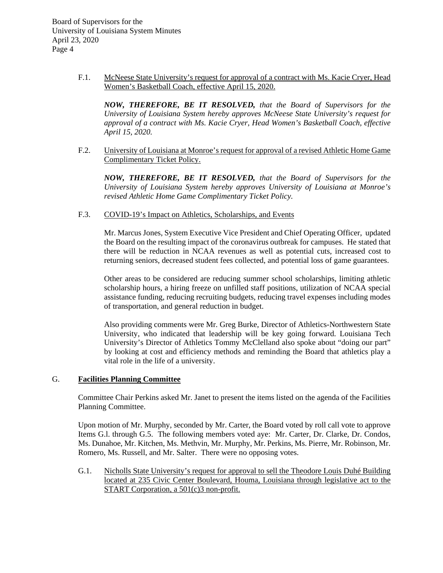> F.1. McNeese State University's request for approval of a contract with Ms. Kacie Cryer, Head Women's Basketball Coach, effective April 15, 2020.

*NOW, THEREFORE, BE IT RESOLVED, that the Board of Supervisors for the University of Louisiana System hereby approves McNeese State University's request for approval of a contract with Ms. Kacie Cryer, Head Women's Basketball Coach, effective April 15, 2020.*

F.2. University of Louisiana at Monroe's request for approval of a revised Athletic Home Game Complimentary Ticket Policy.

*NOW, THEREFORE, BE IT RESOLVED, that the Board of Supervisors for the University of Louisiana System hereby approves University of Louisiana at Monroe's revised Athletic Home Game Complimentary Ticket Policy.*

F.3. COVID-19's Impact on Athletics, Scholarships, and Events

Mr. Marcus Jones, System Executive Vice President and Chief Operating Officer, updated the Board on the resulting impact of the coronavirus outbreak for campuses. He stated that there will be reduction in NCAA revenues as well as potential cuts, increased cost to returning seniors, decreased student fees collected, and potential loss of game guarantees.

Other areas to be considered are reducing summer school scholarships, limiting athletic scholarship hours, a hiring freeze on unfilled staff positions, utilization of NCAA special assistance funding, reducing recruiting budgets, reducing travel expenses including modes of transportation, and general reduction in budget.

Also providing comments were Mr. Greg Burke, Director of Athletics-Northwestern State University, who indicated that leadership will be key going forward. Louisiana Tech University's Director of Athletics Tommy McClelland also spoke about "doing our part" by looking at cost and efficiency methods and reminding the Board that athletics play a vital role in the life of a university.

# G. **Facilities Planning Committee**

Committee Chair Perkins asked Mr. Janet to present the items listed on the agenda of the Facilities Planning Committee.

Upon motion of Mr. Murphy, seconded by Mr. Carter, the Board voted by roll call vote to approve Items G.l. through G.5. The following members voted aye: Mr. Carter, Dr. Clarke, Dr. Condos, Ms. Dunahoe, Mr. Kitchen, Ms. Methvin, Mr. Murphy, Mr. Perkins, Ms. Pierre, Mr. Robinson, Mr. Romero, Ms. Russell, and Mr. Salter. There were no opposing votes.

G.1. Nicholls State University's request for approval to sell the Theodore Louis Duhé Building located at 235 Civic Center Boulevard, Houma, Louisiana through legislative act to the START Corporation, a 501(c)3 non-profit.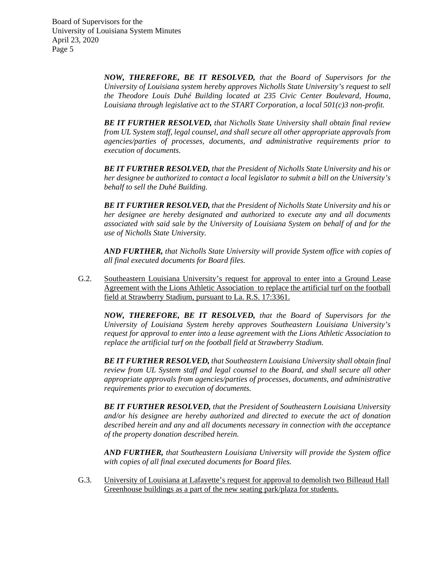> *NOW, THEREFORE, BE IT RESOLVED, that the Board of Supervisors for the University of Louisiana system hereby approves Nicholls State University's request to sell the Theodore Louis Duhé Building located at 235 Civic Center Boulevard, Houma, Louisiana through legislative act to the START Corporation, a local 501(c)3 non-profit.*

> *BE IT FURTHER RESOLVED, that Nicholls State University shall obtain final review from UL System staff, legal counsel, and shall secure all other appropriate approvals from agencies/parties of processes, documents, and administrative requirements prior to execution of documents.*

> *BE IT FURTHER RESOLVED, that the President of Nicholls State University and his or her designee be authorized to contact a local legislator to submit a bill on the University's behalf to sell the Duhé Building.*

> *BE IT FURTHER RESOLVED, that the President of Nicholls State University and his or her designee are hereby designated and authorized to execute any and all documents associated with said sale by the University of Louisiana System on behalf of and for the use of Nicholls State University.*

> *AND FURTHER, that Nicholls State University will provide System office with copies of all final executed documents for Board files.*

G.2. Southeastern Louisiana University's request for approval to enter into a Ground Lease Agreement with the Lions Athletic Association to replace the artificial turf on the football field at Strawberry Stadium, pursuant to La. R.S. 17:3361.

*NOW, THEREFORE, BE IT RESOLVED, that the Board of Supervisors for the University of Louisiana System hereby approves Southeastern Louisiana University's request for approval to enter into a lease agreement with the Lions Athletic Association to replace the artificial turf on the football field at Strawberry Stadium.*

*BE IT FURTHER RESOLVED, that Southeastern Louisiana University shall obtain final review from UL System staff and legal counsel to the Board, and shall secure all other appropriate approvals from agencies/parties of processes, documents, and administrative requirements prior to execution of documents.* 

*BE IT FURTHER RESOLVED, that the President of Southeastern Louisiana University and/or his designee are hereby authorized and directed to execute the act of donation described herein and any and all documents necessary in connection with the acceptance of the property donation described herein.*

*AND FURTHER, that Southeastern Louisiana University will provide the System office with copies of all final executed documents for Board files.*

G.3. University of Louisiana at Lafayette's request for approval to demolish two Billeaud Hall Greenhouse buildings as a part of the new seating park/plaza for students.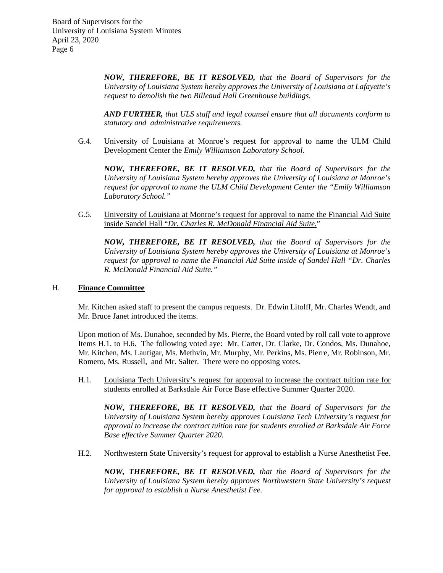*NOW, THEREFORE, BE IT RESOLVED, that the Board of Supervisors for the University of Louisiana System hereby approves the University of Louisiana at Lafayette's request to demolish the two Billeaud Hall Greenhouse buildings.* 

*AND FURTHER, that ULS staff and legal counsel ensure that all documents conform to statutory and administrative requirements.*

G.4. University of Louisiana at Monroe's request for approval to name the ULM Child Development Center the *Emily Williamson Laboratory School.*

*NOW, THEREFORE, BE IT RESOLVED, that the Board of Supervisors for the University of Louisiana System hereby approves the University of Louisiana at Monroe's request for approval to name the ULM Child Development Center the "Emily Williamson Laboratory School."*

G.5. University of Louisiana at Monroe's request for approval to name the Financial Aid Suite inside Sandel Hall "*Dr. Charles R. McDonald Financial Aid Suite.*"

*NOW, THEREFORE, BE IT RESOLVED, that the Board of Supervisors for the University of Louisiana System hereby approves the University of Louisiana at Monroe's request for approval to name the Financial Aid Suite inside of Sandel Hall "Dr. Charles R. McDonald Financial Aid Suite."*

#### H. **Finance Committee**

Mr. Kitchen asked staff to present the campus requests. Dr. Edwin Litolff, Mr. Charles Wendt, and Mr. Bruce Janet introduced the items.

Upon motion of Ms. Dunahoe, seconded by Ms. Pierre, the Board voted by roll call vote to approve Items H.1. to H.6. The following voted aye: Mr. Carter, Dr. Clarke, Dr. Condos, Ms. Dunahoe, Mr. Kitchen, Ms. Lautigar, Ms. Methvin, Mr. Murphy, Mr. Perkins, Ms. Pierre, Mr. Robinson, Mr. Romero, Ms. Russell, and Mr. Salter. There were no opposing votes.

H.1. Louisiana Tech University's request for approval to increase the contract tuition rate for students enrolled at Barksdale Air Force Base effective Summer Quarter 2020.

*NOW, THEREFORE, BE IT RESOLVED, that the Board of Supervisors for the University of Louisiana System hereby approves Louisiana Tech University's request for approval to increase the contract tuition rate for students enrolled at Barksdale Air Force Base effective Summer Quarter 2020.*

H.2. Northwestern State University's request for approval to establish a Nurse Anesthetist Fee.

*NOW, THEREFORE, BE IT RESOLVED, that the Board of Supervisors for the University of Louisiana System hereby approves Northwestern State University's request for approval to establish a Nurse Anesthetist Fee.*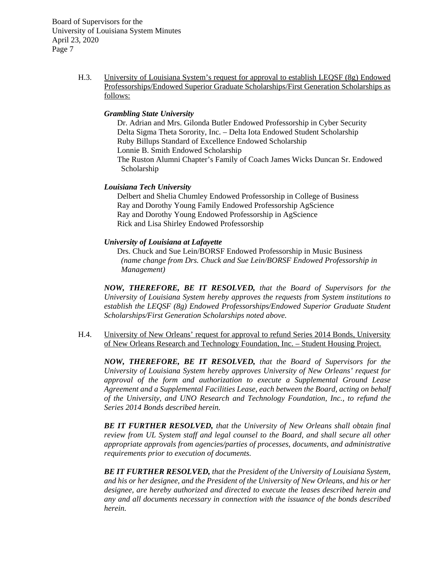> H.3. University of Louisiana System's request for approval to establish LEQSF (8g) Endowed Professorships/Endowed Superior Graduate Scholarships/First Generation Scholarships as follows:

#### *Grambling State University*

Dr. Adrian and Mrs. Gilonda Butler Endowed Professorship in Cyber Security Delta Sigma Theta Sorority, Inc. – Delta Iota Endowed Student Scholarship Ruby Billups Standard of Excellence Endowed Scholarship Lonnie B. Smith Endowed Scholarship The Ruston Alumni Chapter's Family of Coach James Wicks Duncan Sr. Endowed Scholarship

#### *Louisiana Tech University*

Delbert and Shelia Chumley Endowed Professorship in College of Business Ray and Dorothy Young Family Endowed Professorship AgScience Ray and Dorothy Young Endowed Professorship in AgScience Rick and Lisa Shirley Endowed Professorship

#### *University of Louisiana at Lafayette*

Drs. Chuck and Sue Lein/BORSF Endowed Professorship in Music Business *(name change from Drs. Chuck and Sue Lein/BORSF Endowed Professorship in Management)*

*NOW, THEREFORE, BE IT RESOLVED, that the Board of Supervisors for the University of Louisiana System hereby approves the requests from System institutions to establish the LEQSF (8g) Endowed Professorships/Endowed Superior Graduate Student Scholarships/First Generation Scholarships noted above.*

H.4. University of New Orleans' request for approval to refund Series 2014 Bonds, University of New Orleans Research and Technology Foundation, Inc. – Student Housing Project.

*NOW, THEREFORE, BE IT RESOLVED, that the Board of Supervisors for the University of Louisiana System hereby approves University of New Orleans' request for approval of the form and authorization to execute a Supplemental Ground Lease Agreement and a Supplemental Facilities Lease, each between the Board, acting on behalf of the University, and UNO Research and Technology Foundation, Inc., to refund the Series 2014 Bonds described herein.*

*BE IT FURTHER RESOLVED, that the University of New Orleans shall obtain final review from UL System staff and legal counsel to the Board, and shall secure all other appropriate approvals from agencies/parties of processes, documents, and administrative requirements prior to execution of documents.*

*BE IT FURTHER RESOLVED, that the President of the University of Louisiana System, and his or her designee, and the President of the University of New Orleans, and his or her designee, are hereby authorized and directed to execute the leases described herein and any and all documents necessary in connection with the issuance of the bonds described herein.*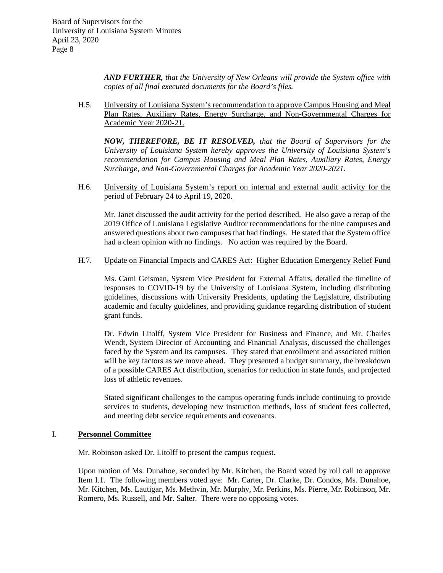*AND FURTHER, that the University of New Orleans will provide the System office with copies of all final executed documents for the Board's files.* 

H.5. University of Louisiana System's recommendation to approve Campus Housing and Meal Plan Rates, Auxiliary Rates, Energy Surcharge, and Non-Governmental Charges for Academic Year 2020-21.

*NOW, THEREFORE, BE IT RESOLVED, that the Board of Supervisors for the University of Louisiana System hereby approves the University of Louisiana System's recommendation for Campus Housing and Meal Plan Rates, Auxiliary Rates, Energy Surcharge, and Non-Governmental Charges for Academic Year 2020-2021.*

H.6. University of Louisiana System's report on internal and external audit activity for the period of February 24 to April 19, 2020.

Mr. Janet discussed the audit activity for the period described. He also gave a recap of the 2019 Office of Louisiana Legislative Auditor recommendations for the nine campuses and answered questions about two campuses that had findings. He stated that the System office had a clean opinion with no findings. No action was required by the Board.

H.7. Update on Financial Impacts and CARES Act: Higher Education Emergency Relief Fund

Ms. Cami Geisman, System Vice President for External Affairs, detailed the timeline of responses to COVID-19 by the University of Louisiana System, including distributing guidelines, discussions with University Presidents, updating the Legislature, distributing academic and faculty guidelines, and providing guidance regarding distribution of student grant funds.

Dr. Edwin Litolff, System Vice President for Business and Finance, and Mr. Charles Wendt, System Director of Accounting and Financial Analysis, discussed the challenges faced by the System and its campuses. They stated that enrollment and associated tuition will be key factors as we move ahead. They presented a budget summary, the breakdown of a possible CARES Act distribution, scenarios for reduction in state funds, and projected loss of athletic revenues.

Stated significant challenges to the campus operating funds include continuing to provide services to students, developing new instruction methods, loss of student fees collected, and meeting debt service requirements and covenants.

# I. **Personnel Committee**

Mr. Robinson asked Dr. Litolff to present the campus request.

Upon motion of Ms. Dunahoe, seconded by Mr. Kitchen, the Board voted by roll call to approve Item I.1. The following members voted aye: Mr. Carter, Dr. Clarke, Dr. Condos, Ms. Dunahoe, Mr. Kitchen, Ms. Lautigar, Ms. Methvin, Mr. Murphy, Mr. Perkins, Ms. Pierre, Mr. Robinson, Mr. Romero, Ms. Russell, and Mr. Salter. There were no opposing votes.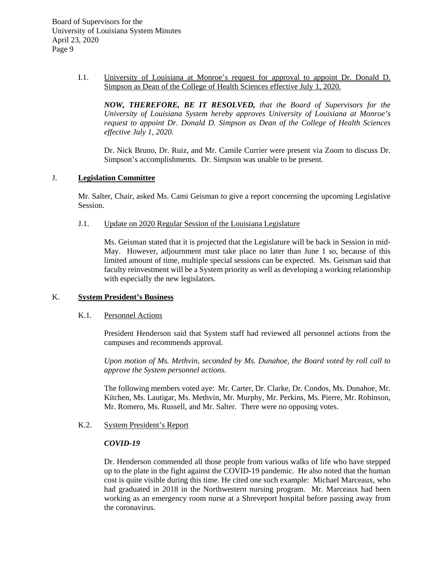> I.1. University of Louisiana at Monroe's request for approval to appoint Dr. Donald D. Simpson as Dean of the College of Health Sciences effective July 1, 2020.

*NOW, THEREFORE, BE IT RESOLVED, that the Board of Supervisors for the University of Louisiana System hereby approves University of Louisiana at Monroe's request to appoint Dr. Donald D. Simpson as Dean of the College of Health Sciences effective July 1, 2020.*

Dr. Nick Bruno, Dr. Ruiz, and Mr. Camile Currier were present via Zoom to discuss Dr. Simpson's accomplishments. Dr. Simpson was unable to be present.

#### J. **Legislation Committee**

Mr. Salter, Chair, asked Ms. Cami Geisman to give a report concerning the upcoming Legislative Session.

J.1. Update on 2020 Regular Session of the Louisiana Legislature

Ms. Geisman stated that it is projected that the Legislature will be back in Session in mid-May. However, adjournment must take place no later than June 1 so, because of this limited amount of time, multiple special sessions can be expected. Ms. Geisman said that faculty reinvestment will be a System priority as well as developing a working relationship with especially the new legislators.

#### K. **System President's Business**

#### K.1. Personnel Actions

President Henderson said that System staff had reviewed all personnel actions from the campuses and recommends approval.

*Upon motion of Ms. Methvin, seconded by Ms. Dunahoe, the Board voted by roll call to approve the System personnel actions.*

The following members voted aye: Mr. Carter, Dr. Clarke, Dr. Condos, Ms. Dunahoe, Mr. Kitchen, Ms. Lautigar, Ms. Methvin, Mr. Murphy, Mr. Perkins, Ms. Pierre, Mr. Robinson, Mr. Romero, Ms. Russell, and Mr. Salter. There were no opposing votes.

# K.2. System President's Report

#### *COVID-19*

Dr. Henderson commended all those people from various walks of life who have stepped up to the plate in the fight against the COVID-19 pandemic. He also noted that the human cost is quite visible during this time. He cited one such example: Michael Marceaux, who had graduated in 2018 in the Northwestern nursing program. Mr. Marceaux had been working as an emergency room nurse at a Shreveport hospital before passing away from the coronavirus.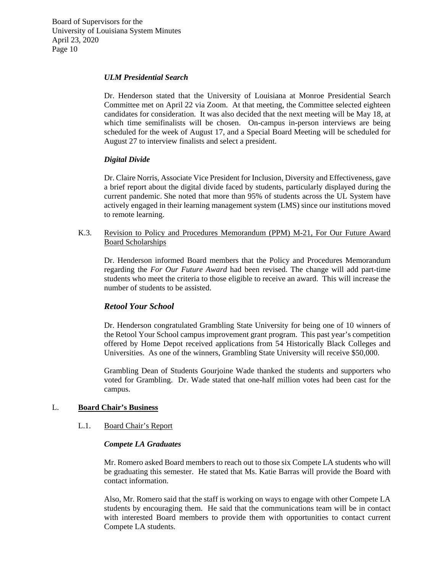#### *ULM Presidential Search*

Dr. Henderson stated that the University of Louisiana at Monroe Presidential Search Committee met on April 22 via Zoom. At that meeting, the Committee selected eighteen candidates for consideration. It was also decided that the next meeting will be May 18, at which time semifinalists will be chosen. On-campus in-person interviews are being scheduled for the week of August 17, and a Special Board Meeting will be scheduled for August 27 to interview finalists and select a president.

# *Digital Divide*

Dr. Claire Norris, Associate Vice President for Inclusion, Diversity and Effectiveness, gave a brief report about the digital divide faced by students, particularly displayed during the current pandemic. She noted that more than 95% of students across the UL System have actively engaged in their learning management system (LMS) since our institutions moved to remote learning.

K.3. Revision to Policy and Procedures Memorandum (PPM) M-21, For Our Future Award Board Scholarships

Dr. Henderson informed Board members that the Policy and Procedures Memorandum regarding the *For Our Future Award* had been revised. The change will add part-time students who meet the criteria to those eligible to receive an award. This will increase the number of students to be assisted.

# *Retool Your School*

Dr. Henderson congratulated Grambling State University for being one of 10 winners of the Retool Your School campus improvement grant program. This past year's competition offered by Home Depot received applications from 54 Historically Black Colleges and Universities. As one of the winners, Grambling State University will receive \$50,000.

Grambling Dean of Students Gourjoine Wade thanked the students and supporters who voted for Grambling. Dr. Wade stated that one-half million votes had been cast for the campus.

# L. **Board Chair's Business**

# L.1. Board Chair's Report

#### *Compete LA Graduates*

Mr. Romero asked Board members to reach out to those six Compete LA students who will be graduating this semester. He stated that Ms. Katie Barras will provide the Board with contact information.

Also, Mr. Romero said that the staff is working on ways to engage with other Compete LA students by encouraging them. He said that the communications team will be in contact with interested Board members to provide them with opportunities to contact current Compete LA students.